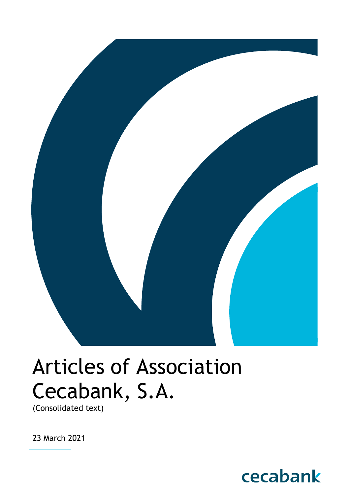

# Articles of Association Cecabank, S.A.

(Consolidated text)

23 March 2021

## cecabank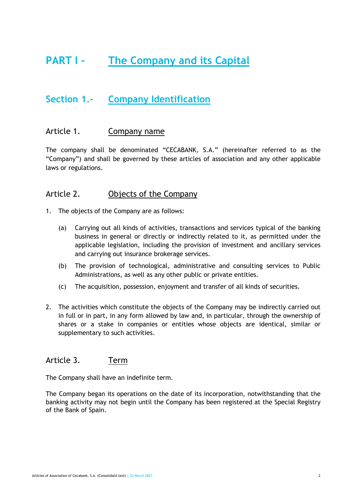## **PART I - The Company and its Capital**

## **Section 1.- Company Identification**

#### Article 1. Company name

The company shall be denominated "CECABANK, S.A." (hereinafter referred to as the "Company") and shall be governed by these articles of association and any other applicable laws or regulations.

#### Article 2. Objects of the Company

- 1. The objects of the Company are as follows:
	- (a) Carrying out all kinds of activities, transactions and services typical of the banking business in general or directly or indirectly related to it, as permitted under the applicable legislation, including the provision of investment and ancillary services and carrying out insurance brokerage services.
	- (b) The provision of technological, administrative and consulting services to Public Administrations, as well as any other public or private entities.
	- (c) The acquisition, possession, enjoyment and transfer of all kinds of securities.
- 2. The activities which constitute the objects of the Company may be indirectly carried out in full or in part, in any form allowed by law and, in particular, through the ownership of shares or a stake in companies or entities whose objects are identical, similar or supplementary to such activities.

#### Article 3. Term

The Company shall have an indefinite term.

The Company began its operations on the date of its incorporation, notwithstanding that the banking activity may not begin until the Company has been registered at the Special Registry of the Bank of Spain.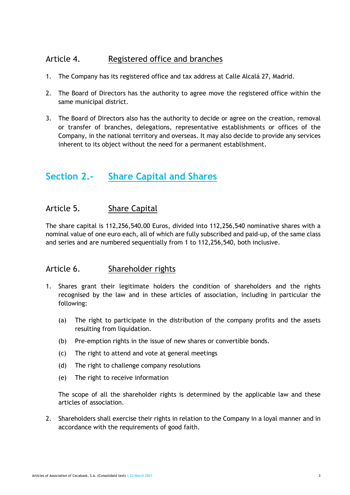#### Article 4. Registered office and branches

- 1. The Company has its registered office and tax address at Calle Alcalá 27, Madrid.
- 2. The Board of Directors has the authority to agree move the registered office within the same municipal district.
- 3. The Board of Directors also has the authority to decide or agree on the creation, removal or transfer of branches, delegations, representative establishments or offices of the Company, in the national territory and overseas. It may also decide to provide any services inherent to its object without the need for a permanent establishment.

## **Section 2.- Share Capital and Shares**

#### Article 5. Share Capital

The share capital is 112,256,540.00 Euros, divided into 112,256,540 nominative shares with a nominal value of one euro each, all of which are fully subscribed and paid-up, of the same class and series and are numbered sequentially from 1 to 112,256,540, both inclusive.

#### Article 6. Shareholder rights

- 1. Shares grant their legitimate holders the condition of shareholders and the rights recognised by the law and in these articles of association, including in particular the following:
	- (a) The right to participate in the distribution of the company profits and the assets resulting from liquidation.
	- (b) Pre-emption rights in the issue of new shares or convertible bonds.
	- (c) The right to attend and vote at general meetings
	- (d) The right to challenge company resolutions
	- (e) The right to receive information

The scope of all the shareholder rights is determined by the applicable law and these articles of association.

2. Shareholders shall exercise their rights in relation to the Company in a loyal manner and in accordance with the requirements of good faith.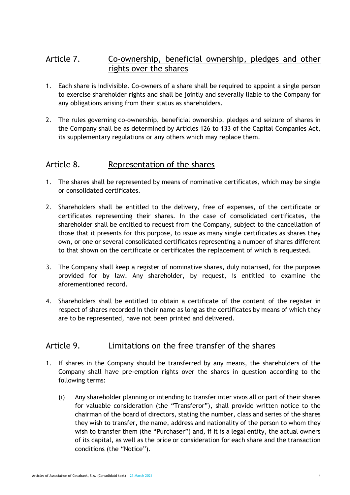#### Article 7. Co-ownership, beneficial ownership, pledges and other rights over the shares

- 1. Each share is indivisible. Co-owners of a share shall be required to appoint a single person to exercise shareholder rights and shall be jointly and severally liable to the Company for any obligations arising from their status as shareholders.
- 2. The rules governing co-ownership, beneficial ownership, pledges and seizure of shares in the Company shall be as determined by Articles 126 to 133 of the Capital Companies Act, its supplementary regulations or any others which may replace them.

#### Article 8. Representation of the shares

- 1. The shares shall be represented by means of nominative certificates, which may be single or consolidated certificates.
- 2. Shareholders shall be entitled to the delivery, free of expenses, of the certificate or certificates representing their shares. In the case of consolidated certificates, the shareholder shall be entitled to request from the Company, subject to the cancellation of those that it presents for this purpose, to issue as many single certificates as shares they own, or one or several consolidated certificates representing a number of shares different to that shown on the certificate or certificates the replacement of which is requested.
- 3. The Company shall keep a register of nominative shares, duly notarised, for the purposes provided for by law. Any shareholder, by request, is entitled to examine the aforementioned record.
- 4. Shareholders shall be entitled to obtain a certificate of the content of the register in respect of shares recorded in their name as long as the certificates by means of which they are to be represented, have not been printed and delivered.

#### Article 9. Limitations on the free transfer of the shares

- 1. If shares in the Company should be transferred by any means, the shareholders of the Company shall have pre-emption rights over the shares in question according to the following terms:
	- (i) Any shareholder planning or intending to transfer inter vivos all or part of their shares for valuable consideration (the "Transferor"), shall provide written notice to the chairman of the board of directors, stating the number, class and series of the shares they wish to transfer, the name, address and nationality of the person to whom they wish to transfer them (the "Purchaser") and, if it is a legal entity, the actual owners of its capital, as well as the price or consideration for each share and the transaction conditions (the "Notice").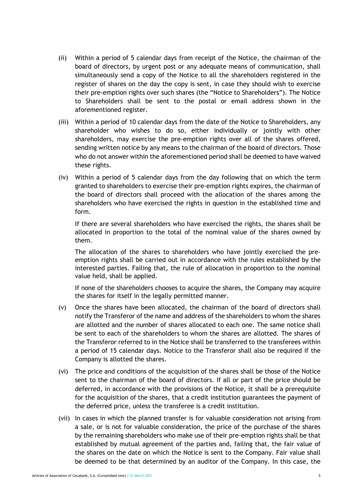- (ii) Within a period of 5 calendar days from receipt of the Notice, the chairman of the board of directors, by urgent post or any adequate means of communication, shall simultaneously send a copy of the Notice to all the shareholders registered in the register of shares on the day the copy is sent, in case they should wish to exercise their pre-emption rights over such shares (the "Notice to Shareholders"). The Notice to Shareholders shall be sent to the postal or email address shown in the aforementioned register.
- (iii) Within a period of 10 calendar days from the date of the Notice to Shareholders, any shareholder who wishes to do so, either individually or jointly with other shareholders, may exercise the pre-emption rights over all of the shares offered, sending written notice by any means to the chairman of the board of directors. Those who do not answer within the aforementioned period shall be deemed to have waived these rights.
- (iv) Within a period of 5 calendar days from the day following that on which the term granted to shareholders to exercise their pre-emption rights expires, the chairman of the board of directors shall proceed with the allocation of the shares among the shareholders who have exercised the rights in question in the established time and form.

If there are several shareholders who have exercised the rights, the shares shall be allocated in proportion to the total of the nominal value of the shares owned by them.

The allocation of the shares to shareholders who have jointly exercised the preemption rights shall be carried out in accordance with the rules established by the interested parties. Failing that, the rule of allocation in proportion to the nominal value held, shall be applied.

If none of the shareholders chooses to acquire the shares, the Company may acquire the shares for itself in the legally permitted manner.

- (v) Once the shares have been allocated, the chairman of the board of directors shall notify the Transferor of the name and address of the shareholders to whom the shares are allotted and the number of shares allocated to each one. The same notice shall be sent to each of the shareholders to whom the shares are allotted. The shares of the Transferor referred to in the Notice shall be transferred to the transferees within a period of 15 calendar days. Notice to the Transferor shall also be required if the Company is allotted the shares.
- (vi) The price and conditions of the acquisition of the shares shall be those of the Notice sent to the chairman of the board of directors. If all or part of the price should be deferred, in accordance with the provisions of the Notice, it shall be a prerequisite for the acquisition of the shares, that a credit institution guarantees the payment of the deferred price, unless the transferee is a credit institution.
- (vii) In cases in which the planned transfer is for valuable consideration not arising from a sale, or is not for valuable consideration, the price of the purchase of the shares by the remaining shareholders who make use of their pre-emption rights shall be that established by mutual agreement of the parties and, failing that, the fair value of the shares on the date on which the Notice is sent to the Company. Fair value shall be deemed to be that determined by an auditor of the Company. In this case, the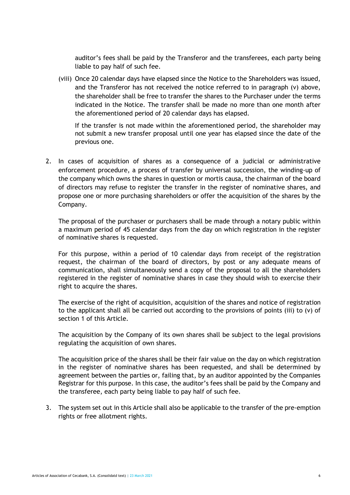auditor's fees shall be paid by the Transferor and the transferees, each party being liable to pay half of such fee.

(viii) Once 20 calendar days have elapsed since the Notice to the Shareholders was issued, and the Transferor has not received the notice referred to in paragraph (v) above, the shareholder shall be free to transfer the shares to the Purchaser under the terms indicated in the Notice. The transfer shall be made no more than one month after the aforementioned period of 20 calendar days has elapsed.

If the transfer is not made within the aforementioned period, the shareholder may not submit a new transfer proposal until one year has elapsed since the date of the previous one.

2. In cases of acquisition of shares as a consequence of a judicial or administrative enforcement procedure, a process of transfer by universal succession, the winding-up of the company which owns the shares in question or mortis causa, the chairman of the board of directors may refuse to register the transfer in the register of nominative shares, and propose one or more purchasing shareholders or offer the acquisition of the shares by the Company.

The proposal of the purchaser or purchasers shall be made through a notary public within a maximum period of 45 calendar days from the day on which registration in the register of nominative shares is requested.

For this purpose, within a period of 10 calendar days from receipt of the registration request, the chairman of the board of directors, by post or any adequate means of communication, shall simultaneously send a copy of the proposal to all the shareholders registered in the register of nominative shares in case they should wish to exercise their right to acquire the shares.

The exercise of the right of acquisition, acquisition of the shares and notice of registration to the applicant shall all be carried out according to the provisions of points (iii) to (v) of section 1 of this Article.

The acquisition by the Company of its own shares shall be subject to the legal provisions regulating the acquisition of own shares.

The acquisition price of the shares shall be their fair value on the day on which registration in the register of nominative shares has been requested, and shall be determined by agreement between the parties or, failing that, by an auditor appointed by the Companies Registrar for this purpose. In this case, the auditor's fees shall be paid by the Company and the transferee, each party being liable to pay half of such fee.

3. The system set out in this Article shall also be applicable to the transfer of the pre-emption rights or free allotment rights.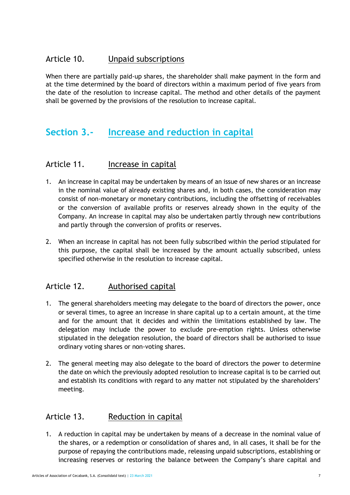#### Article 10. Unpaid subscriptions

When there are partially paid-up shares, the shareholder shall make payment in the form and at the time determined by the board of directors within a maximum period of five years from the date of the resolution to increase capital. The method and other details of the payment shall be governed by the provisions of the resolution to increase capital.

## **Section 3.- Increase and reduction in capital**

#### Article 11. Increase in capital

- 1. An increase in capital may be undertaken by means of an issue of new shares or an increase in the nominal value of already existing shares and, in both cases, the consideration may consist of non-monetary or monetary contributions, including the offsetting of receivables or the conversion of available profits or reserves already shown in the equity of the Company. An increase in capital may also be undertaken partly through new contributions and partly through the conversion of profits or reserves.
- 2. When an increase in capital has not been fully subscribed within the period stipulated for this purpose, the capital shall be increased by the amount actually subscribed, unless specified otherwise in the resolution to increase capital.

#### Article 12. Authorised capital

- 1. The general shareholders meeting may delegate to the board of directors the power, once or several times, to agree an increase in share capital up to a certain amount, at the time and for the amount that it decides and within the limitations established by law. The delegation may include the power to exclude pre-emption rights. Unless otherwise stipulated in the delegation resolution, the board of directors shall be authorised to issue ordinary voting shares or non-voting shares.
- 2. The general meeting may also delegate to the board of directors the power to determine the date on which the previously adopted resolution to increase capital is to be carried out and establish its conditions with regard to any matter not stipulated by the shareholders' meeting.

#### Article 13. Reduction in capital

1. A reduction in capital may be undertaken by means of a decrease in the nominal value of the shares, or a redemption or consolidation of shares and, in all cases, it shall be for the purpose of repaying the contributions made, releasing unpaid subscriptions, establishing or increasing reserves or restoring the balance between the Company's share capital and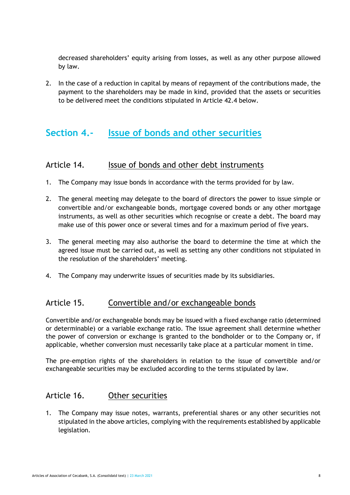decreased shareholders' equity arising from losses, as well as any other purpose allowed by law.

2. In the case of a reduction in capital by means of repayment of the contributions made, the payment to the shareholders may be made in kind, provided that the assets or securities to be delivered meet the conditions stipulated in Article 42.4 below.

## **Section 4.- Issue of bonds and other securities**

#### Article 14. Issue of bonds and other debt instruments

- 1. The Company may issue bonds in accordance with the terms provided for by law.
- 2. The general meeting may delegate to the board of directors the power to issue simple or convertible and/or exchangeable bonds, mortgage covered bonds or any other mortgage instruments, as well as other securities which recognise or create a debt. The board may make use of this power once or several times and for a maximum period of five years.
- 3. The general meeting may also authorise the board to determine the time at which the agreed issue must be carried out, as well as setting any other conditions not stipulated in the resolution of the shareholders' meeting.
- 4. The Company may underwrite issues of securities made by its subsidiaries.

#### Article 15. Convertible and/or exchangeable bonds

Convertible and/or exchangeable bonds may be issued with a fixed exchange ratio (determined or determinable) or a variable exchange ratio. The issue agreement shall determine whether the power of conversion or exchange is granted to the bondholder or to the Company or, if applicable, whether conversion must necessarily take place at a particular moment in time.

The pre-emption rights of the shareholders in relation to the issue of convertible and/or exchangeable securities may be excluded according to the terms stipulated by law.

#### Article 16. Other securities

1. The Company may issue notes, warrants, preferential shares or any other securities not stipulated in the above articles, complying with the requirements established by applicable legislation.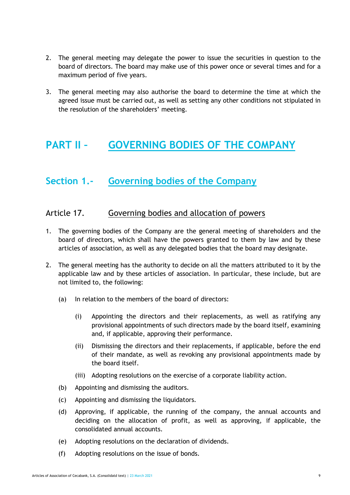- 2. The general meeting may delegate the power to issue the securities in question to the board of directors. The board may make use of this power once or several times and for a maximum period of five years.
- 3. The general meeting may also authorise the board to determine the time at which the agreed issue must be carried out, as well as setting any other conditions not stipulated in the resolution of the shareholders' meeting.

## **PART II – GOVERNING BODIES OF THE COMPANY**

## **Section 1.- Governing bodies of the Company**

#### Article 17. Governing bodies and allocation of powers

- 1. The governing bodies of the Company are the general meeting of shareholders and the board of directors, which shall have the powers granted to them by law and by these articles of association, as well as any delegated bodies that the board may designate.
- 2. The general meeting has the authority to decide on all the matters attributed to it by the applicable law and by these articles of association. In particular, these include, but are not limited to, the following:
	- (a) In relation to the members of the board of directors:
		- (i) Appointing the directors and their replacements, as well as ratifying any provisional appointments of such directors made by the board itself, examining and, if applicable, approving their performance.
		- (ii) Dismissing the directors and their replacements, if applicable, before the end of their mandate, as well as revoking any provisional appointments made by the board itself.
		- (iii) Adopting resolutions on the exercise of a corporate liability action.
	- (b) Appointing and dismissing the auditors.
	- (c) Appointing and dismissing the liquidators.
	- (d) Approving, if applicable, the running of the company, the annual accounts and deciding on the allocation of profit, as well as approving, if applicable, the consolidated annual accounts.
	- (e) Adopting resolutions on the declaration of dividends.
	- (f) Adopting resolutions on the issue of bonds.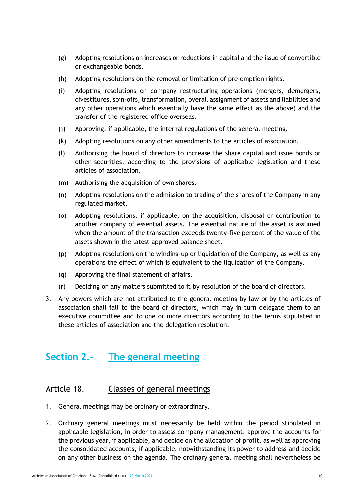- (g) Adopting resolutions on increases or reductions in capital and the issue of convertible or exchangeable bonds.
- (h) Adopting resolutions on the removal or limitation of pre-emption rights.
- (i) Adopting resolutions on company restructuring operations (mergers, demergers, divestitures, spin-offs, transformation, overall assignment of assets and liabilities and any other operations which essentially have the same effect as the above) and the transfer of the registered office overseas.
- (j) Approving, if applicable, the internal regulations of the general meeting.
- (k) Adopting resolutions on any other amendments to the articles of association.
- (l) Authorising the board of directors to increase the share capital and issue bonds or other securities, according to the provisions of applicable legislation and these articles of association.
- (m) Authorising the acquisition of own shares.
- (n) Adopting resolutions on the admission to trading of the shares of the Company in any regulated market.
- (o) Adopting resolutions, if applicable, on the acquisition, disposal or contribution to another company of essential assets. The essential nature of the asset is assumed when the amount of the transaction exceeds twenty-five percent of the value of the assets shown in the latest approved balance sheet.
- (p) Adopting resolutions on the winding-up or liquidation of the Company, as well as any operations the effect of which is equivalent to the liquidation of the Company.
- (q) Approving the final statement of affairs.
- (r) Deciding on any matters submitted to it by resolution of the board of directors.
- 3. Any powers which are not attributed to the general meeting by law or by the articles of association shall fall to the board of directors, which may in turn delegate them to an executive committee and to one or more directors according to the terms stipulated in these articles of association and the delegation resolution.

## **Section 2.- The general meeting**

#### Article 18. Classes of general meetings

- 1. General meetings may be ordinary or extraordinary.
- 2. Ordinary general meetings must necessarily be held within the period stipulated in applicable legislation, in order to assess company management, approve the accounts for the previous year, if applicable, and decide on the allocation of profit, as well as approving the consolidated accounts, if applicable, notwithstanding its power to address and decide on any other business on the agenda. The ordinary general meeting shall nevertheless be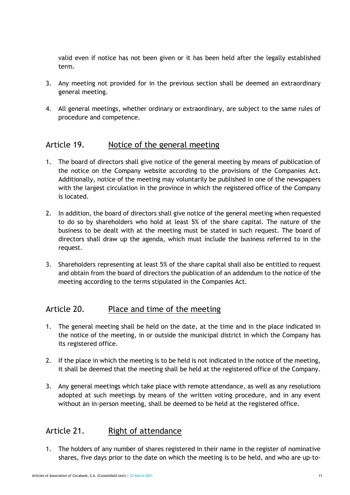valid even if notice has not been given or it has been held after the legally established term.

- 3. Any meeting not provided for in the previous section shall be deemed an extraordinary general meeting.
- 4. All general meetings, whether ordinary or extraordinary, are subject to the same rules of procedure and competence.

#### Article 19. Notice of the general meeting

- 1. The board of directors shall give notice of the general meeting by means of publication of the notice on the Company website according to the provisions of the Companies Act. Additionally, notice of the meeting may voluntarily be published in one of the newspapers with the largest circulation in the province in which the registered office of the Company is located.
- 2. In addition, the board of directors shall give notice of the general meeting when requested to do so by shareholders who hold at least 5% of the share capital. The nature of the business to be dealt with at the meeting must be stated in such request. The board of directors shall draw up the agenda, which must include the business referred to in the request.
- 3. Shareholders representing at least 5% of the share capital shall also be entitled to request and obtain from the board of directors the publication of an addendum to the notice of the meeting according to the terms stipulated in the Companies Act.

#### Article 20. Place and time of the meeting

- 1. The general meeting shall be held on the date, at the time and in the place indicated in the notice of the meeting, in or outside the municipal district in which the Company has its registered office.
- 2. If the place in which the meeting is to be held is not indicated in the notice of the meeting, it shall be deemed that the meeting shall be held at the registered office of the Company.
- 3. Any general meetings which take place with remote attendance, as well as any resolutions adopted at such meetings by means of the written voting procedure, and in any event without an in-person meeting, shall be deemed to be held at the registered office.

#### Article 21. Right of attendance

1. The holders of any number of shares registered in their name in the register of nominative shares, five days prior to the date on which the meeting is to be held, and who are up-to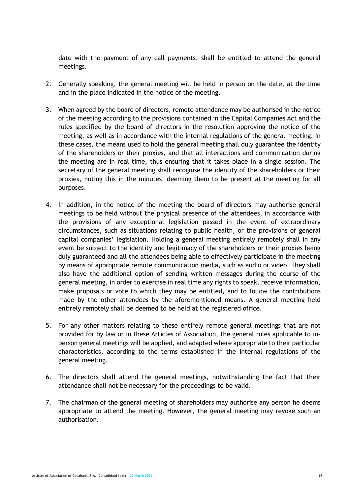date with the payment of any call payments, shall be entitled to attend the general meetings.

- 2. Generally speaking, the general meeting will be held in person on the date, at the time and in the place indicated in the notice of the meeting.
- 3. When agreed by the board of directors, remote attendance may be authorised in the notice of the meeting according to the provisions contained in the Capital Companies Act and the rules specified by the board of directors in the resolution approving the notice of the meeting, as well as in accordance with the internal regulations of the general meeting. In these cases, the means used to hold the general meeting shall duly guarantee the identity of the shareholders or their proxies, and that all interactions and communication during the meeting are in real time, thus ensuring that it takes place in a single session. The secretary of the general meeting shall recognise the identity of the shareholders or their proxies, noting this in the minutes, deeming them to be present at the meeting for all purposes.
- 4. In addition, in the notice of the meeting the board of directors may authorise general meetings to be held without the physical presence of the attendees, in accordance with the provisions of any exceptional legislation passed in the event of extraordinary circumstances, such as situations relating to public health, or the provisions of general capital companies' legislation. Holding a general meeting entirely remotely shall in any event be subject to the identity and legitimacy of the shareholders or their proxies being duly guaranteed and all the attendees being able to effectively participate in the meeting by means of appropriate remote communication media, such as audio or video. They shall also have the additional option of sending written messages during the course of the general meeting, in order to exercise in real time any rights to speak, receive information, make proposals or vote to which they may be entitled, and to follow the contributions made by the other attendees by the aforementioned means. A general meeting held entirely remotely shall be deemed to be held at the registered office.
- 5. For any other matters relating to these entirely remote general meetings that are not provided for by law or in these Articles of Association, the general rules applicable to inperson general meetings will be applied, and adapted where appropriate to their particular characteristics, according to the terms established in the internal regulations of the general meeting.
- 6. The directors shall attend the general meetings, notwithstanding the fact that their attendance shall not be necessary for the proceedings to be valid.
- 7. The chairman of the general meeting of shareholders may authorise any person he deems appropriate to attend the meeting. However, the general meeting may revoke such an authorisation.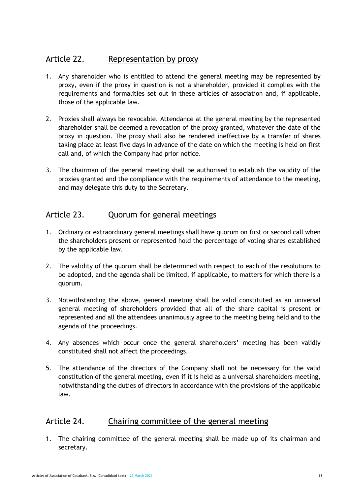#### Article 22. Representation by proxy

- 1. Any shareholder who is entitled to attend the general meeting may be represented by proxy, even if the proxy in question is not a shareholder, provided it complies with the requirements and formalities set out in these articles of association and, if applicable, those of the applicable law.
- 2. Proxies shall always be revocable. Attendance at the general meeting by the represented shareholder shall be deemed a revocation of the proxy granted, whatever the date of the proxy in question. The proxy shall also be rendered ineffective by a transfer of shares taking place at least five days in advance of the date on which the meeting is held on first call and, of which the Company had prior notice.
- 3. The chairman of the general meeting shall be authorised to establish the validity of the proxies granted and the compliance with the requirements of attendance to the meeting, and may delegate this duty to the Secretary.

#### Article 23. Quorum for general meetings

- 1. Ordinary or extraordinary general meetings shall have quorum on first or second call when the shareholders present or represented hold the percentage of voting shares established by the applicable law.
- 2. The validity of the quorum shall be determined with respect to each of the resolutions to be adopted, and the agenda shall be limited, if applicable, to matters for which there is a quorum.
- 3. Notwithstanding the above, general meeting shall be valid constituted as an universal general meeting of shareholders provided that all of the share capital is present or represented and all the attendees unanimously agree to the meeting being held and to the agenda of the proceedings.
- 4. Any absences which occur once the general shareholders' meeting has been validly constituted shall not affect the proceedings.
- 5. The attendance of the directors of the Company shall not be necessary for the valid constitution of the general meeting, even if it is held as a universal shareholders meeting, notwithstanding the duties of directors in accordance with the provisions of the applicable law.

#### Article 24. Chairing committee of the general meeting

1. The chairing committee of the general meeting shall be made up of its chairman and secretary.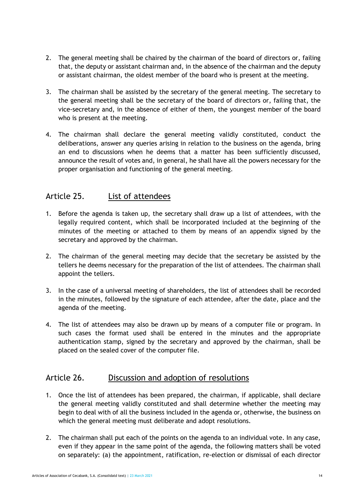- 2. The general meeting shall be chaired by the chairman of the board of directors or, failing that, the deputy or assistant chairman and, in the absence of the chairman and the deputy or assistant chairman, the oldest member of the board who is present at the meeting.
- 3. The chairman shall be assisted by the secretary of the general meeting. The secretary to the general meeting shall be the secretary of the board of directors or, failing that, the vice-secretary and, in the absence of either of them, the youngest member of the board who is present at the meeting.
- 4. The chairman shall declare the general meeting validly constituted, conduct the deliberations, answer any queries arising in relation to the business on the agenda, bring an end to discussions when he deems that a matter has been sufficiently discussed, announce the result of votes and, in general, he shall have all the powers necessary for the proper organisation and functioning of the general meeting.

#### Article 25. List of attendees

- 1. Before the agenda is taken up, the secretary shall draw up a list of attendees, with the legally required content, which shall be incorporated included at the beginning of the minutes of the meeting or attached to them by means of an appendix signed by the secretary and approved by the chairman.
- 2. The chairman of the general meeting may decide that the secretary be assisted by the tellers he deems necessary for the preparation of the list of attendees. The chairman shall appoint the tellers.
- 3. In the case of a universal meeting of shareholders, the list of attendees shall be recorded in the minutes, followed by the signature of each attendee, after the date, place and the agenda of the meeting.
- 4. The list of attendees may also be drawn up by means of a computer file or program. In such cases the format used shall be entered in the minutes and the appropriate authentication stamp, signed by the secretary and approved by the chairman, shall be placed on the sealed cover of the computer file.

#### Article 26. Discussion and adoption of resolutions

- 1. Once the list of attendees has been prepared, the chairman, if applicable, shall declare the general meeting validly constituted and shall determine whether the meeting may begin to deal with of all the business included in the agenda or, otherwise, the business on which the general meeting must deliberate and adopt resolutions.
- 2. The chairman shall put each of the points on the agenda to an individual vote. In any case, even if they appear in the same point of the agenda, the following matters shall be voted on separately: (a) the appointment, ratification, re-election or dismissal of each director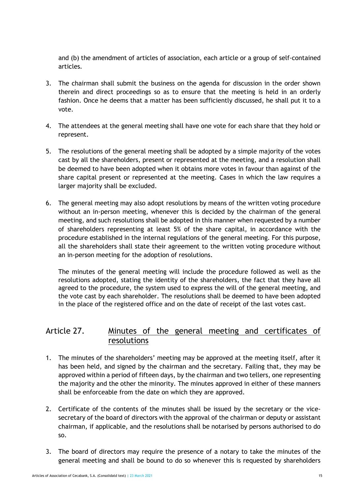and (b) the amendment of articles of association, each article or a group of self-contained articles.

- 3. The chairman shall submit the business on the agenda for discussion in the order shown therein and direct proceedings so as to ensure that the meeting is held in an orderly fashion. Once he deems that a matter has been sufficiently discussed, he shall put it to a vote.
- 4. The attendees at the general meeting shall have one vote for each share that they hold or represent.
- 5. The resolutions of the general meeting shall be adopted by a simple majority of the votes cast by all the shareholders, present or represented at the meeting, and a resolution shall be deemed to have been adopted when it obtains more votes in favour than against of the share capital present or represented at the meeting. Cases in which the law requires a larger majority shall be excluded.
- 6. The general meeting may also adopt resolutions by means of the written voting procedure without an in-person meeting, whenever this is decided by the chairman of the general meeting, and such resolutions shall be adopted in this manner when requested by a number of shareholders representing at least 5% of the share capital, in accordance with the procedure established in the internal regulations of the general meeting. For this purpose, all the shareholders shall state their agreement to the written voting procedure without an in-person meeting for the adoption of resolutions.

The minutes of the general meeting will include the procedure followed as well as the resolutions adopted, stating the identity of the shareholders, the fact that they have all agreed to the procedure, the system used to express the will of the general meeting, and the vote cast by each shareholder. The resolutions shall be deemed to have been adopted in the place of the registered office and on the date of receipt of the last votes cast.

#### Article 27. Minutes of the general meeting and certificates of resolutions

- 1. The minutes of the shareholders' meeting may be approved at the meeting itself, after it has been held, and signed by the chairman and the secretary. Failing that, they may be approved within a period of fifteen days, by the chairman and two tellers, one representing the majority and the other the minority. The minutes approved in either of these manners shall be enforceable from the date on which they are approved.
- 2. Certificate of the contents of the minutes shall be issued by the secretary or the vicesecretary of the board of directors with the approval of the chairman or deputy or assistant chairman, if applicable, and the resolutions shall be notarised by persons authorised to do so.
- 3. The board of directors may require the presence of a notary to take the minutes of the general meeting and shall be bound to do so whenever this is requested by shareholders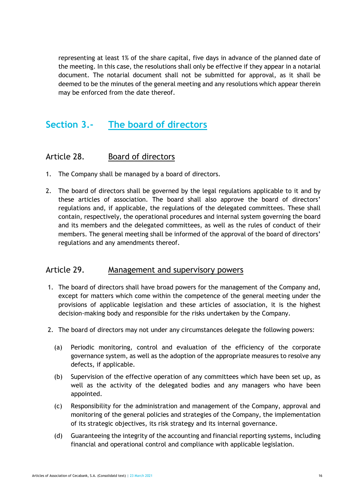representing at least 1% of the share capital, five days in advance of the planned date of the meeting. In this case, the resolutions shall only be effective if they appear in a notarial document. The notarial document shall not be submitted for approval, as it shall be deemed to be the minutes of the general meeting and any resolutions which appear therein may be enforced from the date thereof.

## **Section 3.- The board of directors**

#### Article 28. Board of directors

- 1. The Company shall be managed by a board of directors.
- 2. The board of directors shall be governed by the legal regulations applicable to it and by these articles of association. The board shall also approve the board of directors' regulations and, if applicable, the regulations of the delegated committees. These shall contain, respectively, the operational procedures and internal system governing the board and its members and the delegated committees, as well as the rules of conduct of their members. The general meeting shall be informed of the approval of the board of directors' regulations and any amendments thereof.

#### Article 29. Management and supervisory powers

- 1. The board of directors shall have broad powers for the management of the Company and, except for matters which come within the competence of the general meeting under the provisions of applicable legislation and these articles of association, it is the highest decision-making body and responsible for the risks undertaken by the Company.
- 2. The board of directors may not under any circumstances delegate the following powers:
	- (a) Periodic monitoring, control and evaluation of the efficiency of the corporate governance system, as well as the adoption of the appropriate measures to resolve any defects, if applicable.
	- (b) Supervision of the effective operation of any committees which have been set up, as well as the activity of the delegated bodies and any managers who have been appointed.
	- (c) Responsibility for the administration and management of the Company, approval and monitoring of the general policies and strategies of the Company, the implementation of its strategic objectives, its risk strategy and its internal governance.
	- (d) Guaranteeing the integrity of the accounting and financial reporting systems, including financial and operational control and compliance with applicable legislation.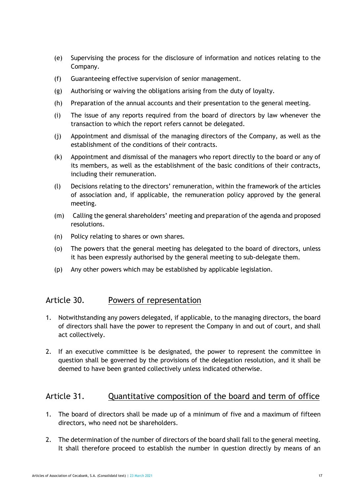- (e) Supervising the process for the disclosure of information and notices relating to the Company.
- (f) Guaranteeing effective supervision of senior management.
- (g) Authorising or waiving the obligations arising from the duty of loyalty.
- (h) Preparation of the annual accounts and their presentation to the general meeting.
- (i) The issue of any reports required from the board of directors by law whenever the transaction to which the report refers cannot be delegated.
- (j) Appointment and dismissal of the managing directors of the Company, as well as the establishment of the conditions of their contracts.
- (k) Appointment and dismissal of the managers who report directly to the board or any of its members, as well as the establishment of the basic conditions of their contracts, including their remuneration.
- (l) Decisions relating to the directors' remuneration, within the framework of the articles of association and, if applicable, the remuneration policy approved by the general meeting.
- (m) Calling the general shareholders' meeting and preparation of the agenda and proposed resolutions.
- (n) Policy relating to shares or own shares.
- (o) The powers that the general meeting has delegated to the board of directors, unless it has been expressly authorised by the general meeting to sub-delegate them.
- (p) Any other powers which may be established by applicable legislation.

#### Article 30. Powers of representation

- 1. Notwithstanding any powers delegated, if applicable, to the managing directors, the board of directors shall have the power to represent the Company in and out of court, and shall act collectively.
- 2. If an executive committee is be designated, the power to represent the committee in question shall be governed by the provisions of the delegation resolution, and it shall be deemed to have been granted collectively unless indicated otherwise.

#### Article 31. Cuantitative composition of the board and term of office

- 1. The board of directors shall be made up of a minimum of five and a maximum of fifteen directors, who need not be shareholders.
- 2. The determination of the number of directors of the board shall fall to the general meeting. It shall therefore proceed to establish the number in question directly by means of an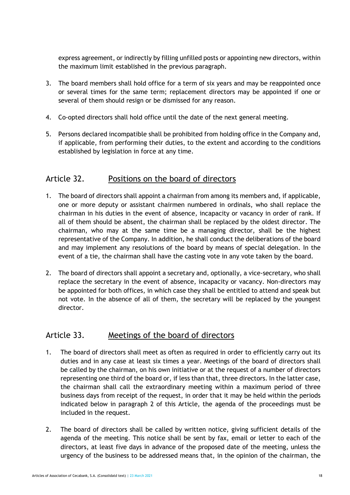express agreement, or indirectly by filling unfilled posts or appointing new directors, within the maximum limit established in the previous paragraph.

- 3. The board members shall hold office for a term of six years and may be reappointed once or several times for the same term; replacement directors may be appointed if one or several of them should resign or be dismissed for any reason.
- 4. Co-opted directors shall hold office until the date of the next general meeting.
- 5. Persons declared incompatible shall be prohibited from holding office in the Company and, if applicable, from performing their duties, to the extent and according to the conditions established by legislation in force at any time.

#### Article 32. Positions on the board of directors

- 1. The board of directors shall appoint a chairman from among its members and, if applicable, one or more deputy or assistant chairmen numbered in ordinals, who shall replace the chairman in his duties in the event of absence, incapacity or vacancy in order of rank. If all of them should be absent, the chairman shall be replaced by the oldest director. The chairman, who may at the same time be a managing director, shall be the highest representative of the Company. In addition, he shall conduct the deliberations of the board and may implement any resolutions of the board by means of special delegation. In the event of a tie, the chairman shall have the casting vote in any vote taken by the board.
- 2. The board of directors shall appoint a secretary and, optionally, a vice-secretary, who shall replace the secretary in the event of absence, incapacity or vacancy. Non-directors may be appointed for both offices, in which case they shall be entitled to attend and speak but not vote. In the absence of all of them, the secretary will be replaced by the youngest director.

#### Article 33. Meetings of the board of directors

- 1. The board of directors shall meet as often as required in order to efficiently carry out its duties and in any case at least six times a year. Meetings of the board of directors shall be called by the chairman, on his own initiative or at the request of a number of directors representing one third of the board or, if less than that, three directors. In the latter case, the chairman shall call the extraordinary meeting within a maximum period of three business days from receipt of the request, in order that it may be held within the periods indicated below in paragraph 2 of this Article, the agenda of the proceedings must be included in the request.
- 2. The board of directors shall be called by written notice, giving sufficient details of the agenda of the meeting. This notice shall be sent by fax, email or letter to each of the directors, at least five days in advance of the proposed date of the meeting, unless the urgency of the business to be addressed means that, in the opinion of the chairman, the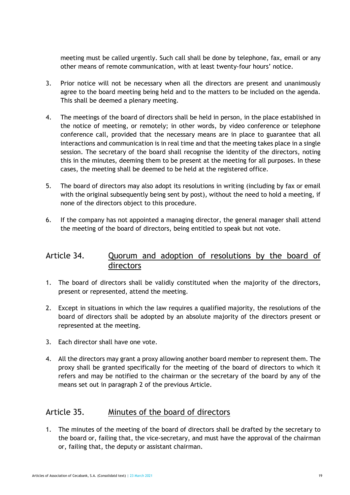meeting must be called urgently. Such call shall be done by telephone, fax, email or any other means of remote communication, with at least twenty-four hours' notice.

- 3. Prior notice will not be necessary when all the directors are present and unanimously agree to the board meeting being held and to the matters to be included on the agenda. This shall be deemed a plenary meeting.
- 4. The meetings of the board of directors shall be held in person, in the place established in the notice of meeting, or remotely; in other words, by video conference or telephone conference call, provided that the necessary means are in place to guarantee that all interactions and communication is in real time and that the meeting takes place in a single session. The secretary of the board shall recognise the identity of the directors, noting this in the minutes, deeming them to be present at the meeting for all purposes. In these cases, the meeting shall be deemed to be held at the registered office.
- 5. The board of directors may also adopt its resolutions in writing (including by fax or email with the original subsequently being sent by post), without the need to hold a meeting, if none of the directors object to this procedure.
- 6. If the company has not appointed a managing director, the general manager shall attend the meeting of the board of directors, being entitled to speak but not vote.

#### Article 34. Quorum and adoption of resolutions by the board of directors

- 1. The board of directors shall be validly constituted when the majority of the directors, present or represented, attend the meeting.
- 2. Except in situations in which the law requires a qualified majority, the resolutions of the board of directors shall be adopted by an absolute majority of the directors present or represented at the meeting.
- 3. Each director shall have one vote.
- 4. All the directors may grant a proxy allowing another board member to represent them. The proxy shall be granted specifically for the meeting of the board of directors to which it refers and may be notified to the chairman or the secretary of the board by any of the means set out in paragraph 2 of the previous Article.

#### Article 35. Minutes of the board of directors

1. The minutes of the meeting of the board of directors shall be drafted by the secretary to the board or, failing that, the vice-secretary, and must have the approval of the chairman or, failing that, the deputy or assistant chairman.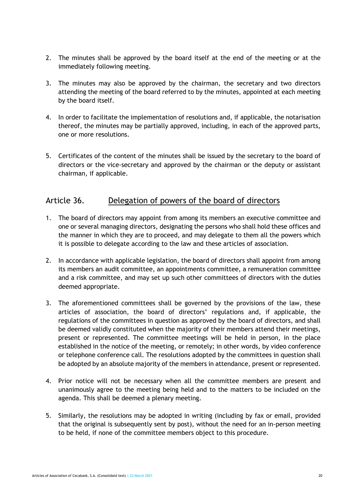- 2. The minutes shall be approved by the board itself at the end of the meeting or at the immediately following meeting.
- 3. The minutes may also be approved by the chairman, the secretary and two directors attending the meeting of the board referred to by the minutes, appointed at each meeting by the board itself.
- 4. In order to facilitate the implementation of resolutions and, if applicable, the notarisation thereof, the minutes may be partially approved, including, in each of the approved parts, one or more resolutions.
- 5. Certificates of the content of the minutes shall be issued by the secretary to the board of directors or the vice-secretary and approved by the chairman or the deputy or assistant chairman, if applicable.

#### Article 36. Delegation of powers of the board of directors

- 1. The board of directors may appoint from among its members an executive committee and one or several managing directors, designating the persons who shall hold these offices and the manner in which they are to proceed, and may delegate to them all the powers which it is possible to delegate according to the law and these articles of association.
- 2. In accordance with applicable legislation, the board of directors shall appoint from among its members an audit committee, an appointments committee, a remuneration committee and a risk committee, and may set up such other committees of directors with the duties deemed appropriate.
- 3. The aforementioned committees shall be governed by the provisions of the law, these articles of association, the board of directors' regulations and, if applicable, the regulations of the committees in question as approved by the board of directors, and shall be deemed validly constituted when the majority of their members attend their meetings, present or represented. The committee meetings will be held in person, in the place established in the notice of the meeting, or remotely; in other words, by video conference or telephone conference call. The resolutions adopted by the committees in question shall be adopted by an absolute majority of the members in attendance, present or represented.
- 4. Prior notice will not be necessary when all the committee members are present and unanimously agree to the meeting being held and to the matters to be included on the agenda. This shall be deemed a plenary meeting.
- 5. Similarly, the resolutions may be adopted in writing (including by fax or email, provided that the original is subsequently sent by post), without the need for an in-person meeting to be held, if none of the committee members object to this procedure.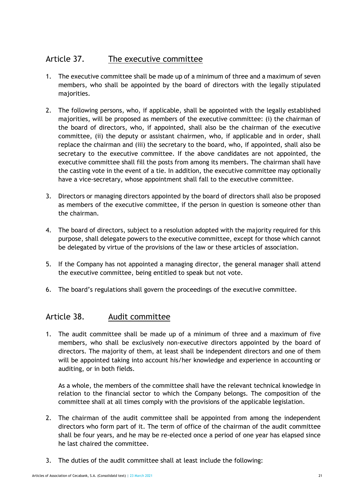#### Article 37. The executive committee

- 1. The executive committee shall be made up of a minimum of three and a maximum of seven members, who shall be appointed by the board of directors with the legally stipulated majorities.
- 2. The following persons, who, if applicable, shall be appointed with the legally established majorities, will be proposed as members of the executive committee: (i) the chairman of the board of directors, who, if appointed, shall also be the chairman of the executive committee, (ii) the deputy or assistant chairmen, who, if applicable and in order, shall replace the chairman and (iii) the secretary to the board, who, if appointed, shall also be secretary to the executive committee. If the above candidates are not appointed, the executive committee shall fill the posts from among its members. The chairman shall have the casting vote in the event of a tie. In addition, the executive committee may optionally have a vice-secretary, whose appointment shall fall to the executive committee.
- 3. Directors or managing directors appointed by the board of directors shall also be proposed as members of the executive committee, if the person in question is someone other than the chairman.
- 4. The board of directors, subject to a resolution adopted with the majority required for this purpose, shall delegate powers to the executive committee, except for those which cannot be delegated by virtue of the provisions of the law or these articles of association.
- 5. If the Company has not appointed a managing director, the general manager shall attend the executive committee, being entitled to speak but not vote.
- 6. The board's regulations shall govern the proceedings of the executive committee.

#### Article 38. Audit committee

1. The audit committee shall be made up of a minimum of three and a maximum of five members, who shall be exclusively non-executive directors appointed by the board of directors. The majority of them, at least shall be independent directors and one of them will be appointed taking into account his/her knowledge and experience in accounting or auditing, or in both fields.

As a whole, the members of the committee shall have the relevant technical knowledge in relation to the financial sector to which the Company belongs. The composition of the committee shall at all times comply with the provisions of the applicable legislation.

- 2. The chairman of the audit committee shall be appointed from among the independent directors who form part of it. The term of office of the chairman of the audit committee shall be four years, and he may be re-elected once a period of one year has elapsed since he last chaired the committee.
- 3. The duties of the audit committee shall at least include the following: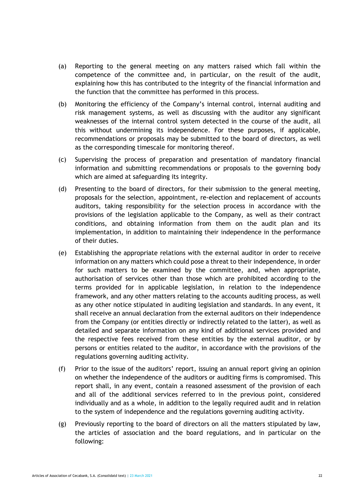- (a) Reporting to the general meeting on any matters raised which fall within the competence of the committee and, in particular, on the result of the audit, explaining how this has contributed to the integrity of the financial information and the function that the committee has performed in this process.
- (b) Monitoring the efficiency of the Company's internal control, internal auditing and risk management systems, as well as discussing with the auditor any significant weaknesses of the internal control system detected in the course of the audit, all this without undermining its independence. For these purposes, if applicable, recommendations or proposals may be submitted to the board of directors, as well as the corresponding timescale for monitoring thereof.
- (c) Supervising the process of preparation and presentation of mandatory financial information and submitting recommendations or proposals to the governing body which are aimed at safeguarding its integrity.
- (d) Presenting to the board of directors, for their submission to the general meeting, proposals for the selection, appointment, re-election and replacement of accounts auditors, taking responsibility for the selection process in accordance with the provisions of the legislation applicable to the Company, as well as their contract conditions, and obtaining information from them on the audit plan and its implementation, in addition to maintaining their independence in the performance of their duties.
- (e) Establishing the appropriate relations with the external auditor in order to receive information on any matters which could pose a threat to their independence, in order for such matters to be examined by the committee, and, when appropriate, authorisation of services other than those which are prohibited according to the terms provided for in applicable legislation, in relation to the independence framework, and any other matters relating to the accounts auditing process, as well as any other notice stipulated in auditing legislation and standards. In any event, it shall receive an annual declaration from the external auditors on their independence from the Company (or entities directly or indirectly related to the latter), as well as detailed and separate information on any kind of additional services provided and the respective fees received from these entities by the external auditor, or by persons or entities related to the auditor, in accordance with the provisions of the regulations governing auditing activity.
- (f) Prior to the issue of the auditors' report, issuing an annual report giving an opinion on whether the independence of the auditors or auditing firms is compromised. This report shall, in any event, contain a reasoned assessment of the provision of each and all of the additional services referred to in the previous point, considered individually and as a whole, in addition to the legally required audit and in relation to the system of independence and the regulations governing auditing activity.
- (g) Previously reporting to the board of directors on all the matters stipulated by law, the articles of association and the board regulations, and in particular on the following: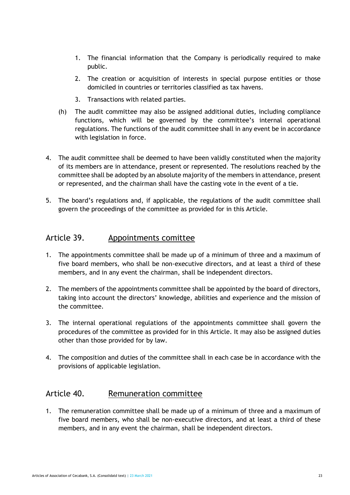- 1. The financial information that the Company is periodically required to make public.
- 2. The creation or acquisition of interests in special purpose entities or those domiciled in countries or territories classified as tax havens.
- 3. Transactions with related parties.
- (h) The audit committee may also be assigned additional duties, including compliance functions, which will be governed by the committee's internal operational regulations. The functions of the audit committee shall in any event be in accordance with legislation in force.
- 4. The audit committee shall be deemed to have been validly constituted when the majority of its members are in attendance, present or represented. The resolutions reached by the committee shall be adopted by an absolute majority of the members in attendance, present or represented, and the chairman shall have the casting vote in the event of a tie.
- 5. The board's regulations and, if applicable, the regulations of the audit committee shall govern the proceedings of the committee as provided for in this Article.

#### Article 39. Appointments comittee

- 1. The appointments committee shall be made up of a minimum of three and a maximum of five board members, who shall be non-executive directors, and at least a third of these members, and in any event the chairman, shall be independent directors.
- 2. The members of the appointments committee shall be appointed by the board of directors, taking into account the directors' knowledge, abilities and experience and the mission of the committee.
- 3. The internal operational regulations of the appointments committee shall govern the procedures of the committee as provided for in this Article. It may also be assigned duties other than those provided for by law.
- 4. The composition and duties of the committee shall in each case be in accordance with the provisions of applicable legislation.

#### Article 40. Remuneration committee

1. The remuneration committee shall be made up of a minimum of three and a maximum of five board members, who shall be non-executive directors, and at least a third of these members, and in any event the chairman, shall be independent directors.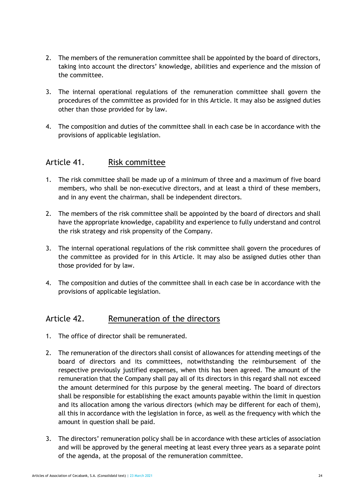- 2. The members of the remuneration committee shall be appointed by the board of directors, taking into account the directors' knowledge, abilities and experience and the mission of the committee.
- 3. The internal operational regulations of the remuneration committee shall govern the procedures of the committee as provided for in this Article. It may also be assigned duties other than those provided for by law.
- 4. The composition and duties of the committee shall in each case be in accordance with the provisions of applicable legislation.

#### Article 41. Risk committee

- 1. The risk committee shall be made up of a minimum of three and a maximum of five board members, who shall be non-executive directors, and at least a third of these members, and in any event the chairman, shall be independent directors.
- 2. The members of the risk committee shall be appointed by the board of directors and shall have the appropriate knowledge, capability and experience to fully understand and control the risk strategy and risk propensity of the Company.
- 3. The internal operational regulations of the risk committee shall govern the procedures of the committee as provided for in this Article. It may also be assigned duties other than those provided for by law.
- 4. The composition and duties of the committee shall in each case be in accordance with the provisions of applicable legislation.

#### Article 42. Remuneration of the directors

- 1. The office of director shall be remunerated.
- 2. The remuneration of the directors shall consist of allowances for attending meetings of the board of directors and its committees, notwithstanding the reimbursement of the respective previously justified expenses, when this has been agreed. The amount of the remuneration that the Company shall pay all of its directors in this regard shall not exceed the amount determined for this purpose by the general meeting. The board of directors shall be responsible for establishing the exact amounts payable within the limit in question and its allocation among the various directors (which may be different for each of them), all this in accordance with the legislation in force, as well as the frequency with which the amount in question shall be paid.
- 3. The directors' remuneration policy shall be in accordance with these articles of association and will be approved by the general meeting at least every three years as a separate point of the agenda, at the proposal of the remuneration committee.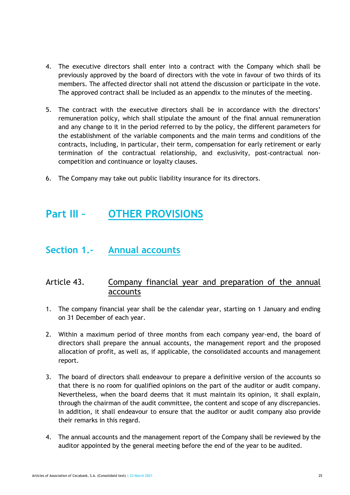- 4. The executive directors shall enter into a contract with the Company which shall be previously approved by the board of directors with the vote in favour of two thirds of its members. The affected director shall not attend the discussion or participate in the vote. The approved contract shall be included as an appendix to the minutes of the meeting.
- 5. The contract with the executive directors shall be in accordance with the directors' remuneration policy, which shall stipulate the amount of the final annual remuneration and any change to it in the period referred to by the policy, the different parameters for the establishment of the variable components and the main terms and conditions of the contracts, including, in particular, their term, compensation for early retirement or early termination of the contractual relationship, and exclusivity, post-contractual noncompetition and continuance or loyalty clauses.
- 6. The Company may take out public liability insurance for its directors.

## **Part III – OTHER PROVISIONS**

### **Section 1.- Annual accounts**

#### Article 43. Company financial year and preparation of the annual accounts

- 1. The company financial year shall be the calendar year, starting on 1 January and ending on 31 December of each year.
- 2. Within a maximum period of three months from each company year-end, the board of directors shall prepare the annual accounts, the management report and the proposed allocation of profit, as well as, if applicable, the consolidated accounts and management report.
- 3. The board of directors shall endeavour to prepare a definitive version of the accounts so that there is no room for qualified opinions on the part of the auditor or audit company. Nevertheless, when the board deems that it must maintain its opinion, it shall explain, through the chairman of the audit committee, the content and scope of any discrepancies. In addition, it shall endeavour to ensure that the auditor or audit company also provide their remarks in this regard.
- 4. The annual accounts and the management report of the Company shall be reviewed by the auditor appointed by the general meeting before the end of the year to be audited.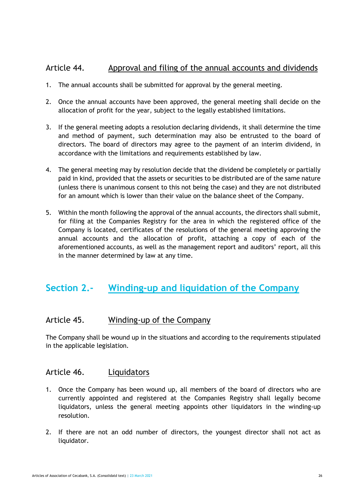#### Article 44. Approval and filing of the annual accounts and dividends

- 1. The annual accounts shall be submitted for approval by the general meeting.
- 2. Once the annual accounts have been approved, the general meeting shall decide on the allocation of profit for the year, subject to the legally established limitations.
- 3. If the general meeting adopts a resolution declaring dividends, it shall determine the time and method of payment, such determination may also be entrusted to the board of directors. The board of directors may agree to the payment of an interim dividend, in accordance with the limitations and requirements established by law.
- 4. The general meeting may by resolution decide that the dividend be completely or partially paid in kind, provided that the assets or securities to be distributed are of the same nature (unless there is unanimous consent to this not being the case) and they are not distributed for an amount which is lower than their value on the balance sheet of the Company.
- 5. Within the month following the approval of the annual accounts, the directors shall submit, for filing at the Companies Registry for the area in which the registered office of the Company is located, certificates of the resolutions of the general meeting approving the annual accounts and the allocation of profit, attaching a copy of each of the aforementioned accounts, as well as the management report and auditors' report, all this in the manner determined by law at any time.

## **Section 2.- Winding-up and liquidation of the Company**

#### Article 45. Winding-up of the Company

The Company shall be wound up in the situations and according to the requirements stipulated in the applicable legislation.

#### Article 46. Liquidators

- 1. Once the Company has been wound up, all members of the board of directors who are currently appointed and registered at the Companies Registry shall legally become liquidators, unless the general meeting appoints other liquidators in the winding-up resolution.
- 2. If there are not an odd number of directors, the youngest director shall not act as liquidator.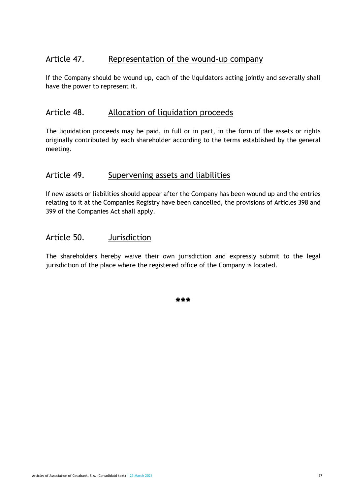#### Article 47. Representation of the wound-up company

If the Company should be wound up, each of the liquidators acting jointly and severally shall have the power to represent it.

#### Article 48. Allocation of liquidation proceeds

The liquidation proceeds may be paid, in full or in part, in the form of the assets or rights originally contributed by each shareholder according to the terms established by the general meeting.

#### Article 49. Supervening assets and liabilities

If new assets or liabilities should appear after the Company has been wound up and the entries relating to it at the Companies Registry have been cancelled, the provisions of Articles 398 and 399 of the Companies Act shall apply.

#### Article 50. Jurisdiction

The shareholders hereby waive their own jurisdiction and expressly submit to the legal jurisdiction of the place where the registered office of the Company is located.

**\*\*\***